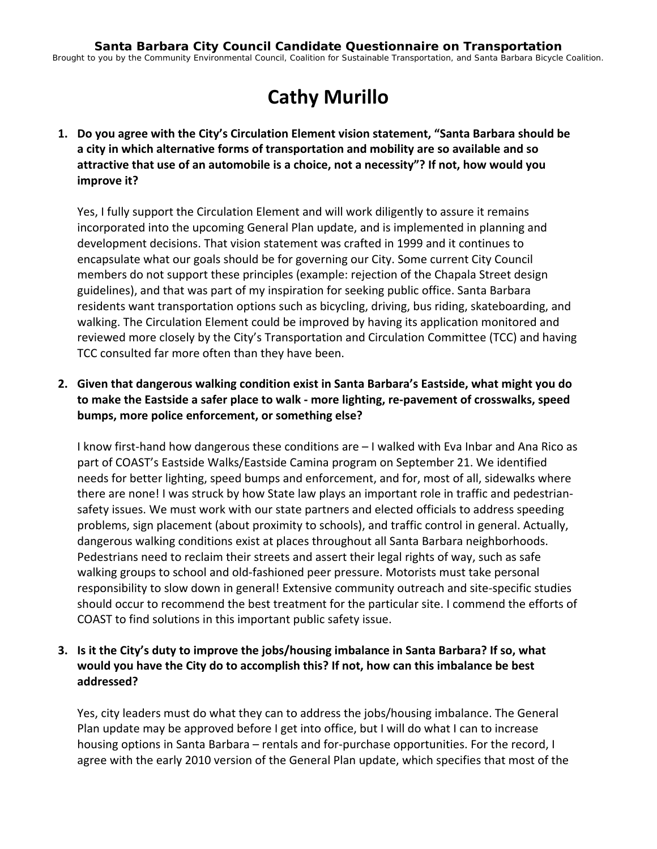# **Cathy Murillo**

**1. Do you agree with the City's Circulation Element vision statement, "Santa Barbara should be a city in which alternative forms of transportation and mobility are so available and so attractive that use of an automobile is a choice, not a necessity"? If not, how would you improve it?**

Yes, I fully support the Circulation Element and will work diligently to assure it remains incorporated into the upcoming General Plan update, and is implemented in planning and development decisions. That vision statement was crafted in 1999 and it continues to encapsulate what our goals should be for governing our City. Some current City Council members do not support these principles (example: rejection of the Chapala Street design guidelines), and that was part of my inspiration for seeking public office. Santa Barbara residents want transportation options such as bicycling, driving, bus riding, skateboarding, and walking. The Circulation Element could be improved by having its application monitored and reviewed more closely by the City's Transportation and Circulation Committee (TCC) and having TCC consulted far more often than they have been.

**2. Given that dangerous walking condition exist in Santa Barbara's Eastside, what might you do to make the Eastside a safer place to walk ‐ more lighting, re‐pavement of crosswalks, speed bumps, more police enforcement, or something else?**

I know first‐hand how dangerous these conditions are – I walked with Eva Inbar and Ana Rico as part of COAST's Eastside Walks/Eastside Camina program on September 21. We identified needs for better lighting, speed bumps and enforcement, and for, most of all, sidewalks where there are none! I was struck by how State law plays an important role in traffic and pedestrian‐ safety issues. We must work with our state partners and elected officials to address speeding problems, sign placement (about proximity to schools), and traffic control in general. Actually, dangerous walking conditions exist at places throughout all Santa Barbara neighborhoods. Pedestrians need to reclaim their streets and assert their legal rights of way, such as safe walking groups to school and old‐fashioned peer pressure. Motorists must take personal responsibility to slow down in general! Extensive community outreach and site‐specific studies should occur to recommend the best treatment for the particular site. I commend the efforts of COAST to find solutions in this important public safety issue.

### **3. Is it the City's duty to improve the jobs/housing imbalance in Santa Barbara? If so, what would you have the City do to accomplish this? If not, how can this imbalance be best addressed?**

Yes, city leaders must do what they can to address the jobs/housing imbalance. The General Plan update may be approved before I get into office, but I will do what I can to increase housing options in Santa Barbara – rentals and for-purchase opportunities. For the record, I agree with the early 2010 version of the General Plan update, which specifies that most of the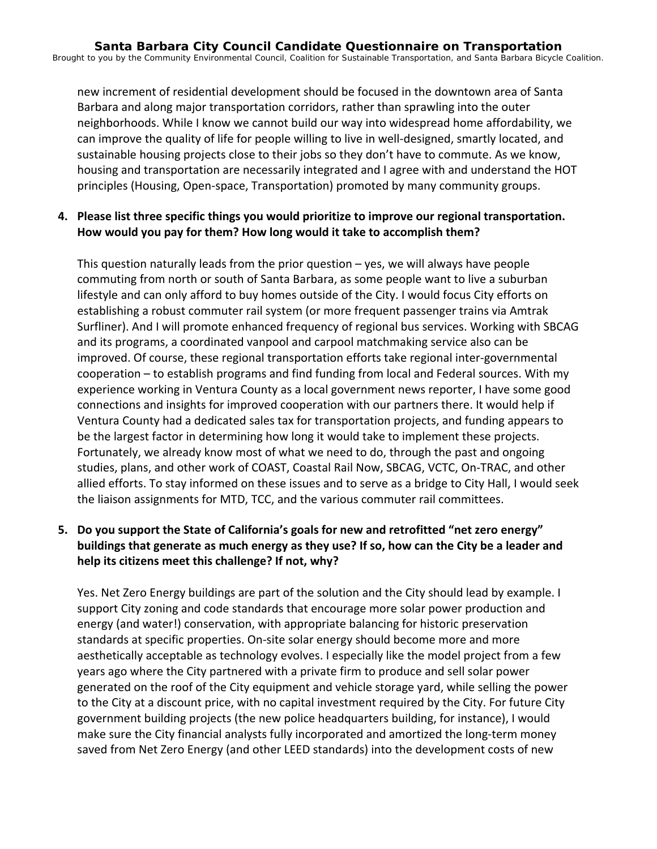new increment of residential development should be focused in the downtown area of Santa Barbara and along major transportation corridors, rather than sprawling into the outer neighborhoods. While I know we cannot build our way into widespread home affordability, we can improve the quality of life for people willing to live in well-designed, smartly located, and sustainable housing projects close to their jobs so they don't have to commute. As we know, housing and transportation are necessarily integrated and I agree with and understand the HOT principles (Housing, Open‐space, Transportation) promoted by many community groups.

### **4. Please list three specific things you would prioritize to improve our regional transportation. How would you pay for them? How long would it take to accomplish them?**

This question naturally leads from the prior question  $-$  yes, we will always have people commuting from north or south of Santa Barbara, as some people want to live a suburban lifestyle and can only afford to buy homes outside of the City. I would focus City efforts on establishing a robust commuter rail system (or more frequent passenger trains via Amtrak Surfliner). And I will promote enhanced frequency of regional bus services. Working with SBCAG and its programs, a coordinated vanpool and carpool matchmaking service also can be improved. Of course, these regional transportation efforts take regional inter‐governmental cooperation – to establish programs and find funding from local and Federal sources. With my experience working in Ventura County as a local government news reporter, I have some good connections and insights for improved cooperation with our partners there. It would help if Ventura County had a dedicated sales tax for transportation projects, and funding appears to be the largest factor in determining how long it would take to implement these projects. Fortunately, we already know most of what we need to do, through the past and ongoing studies, plans, and other work of COAST, Coastal Rail Now, SBCAG, VCTC, On‐TRAC, and other allied efforts. To stay informed on these issues and to serve as a bridge to City Hall, I would seek the liaison assignments for MTD, TCC, and the various commuter rail committees.

## **5. Do you support the State of California's goals for new and retrofitted "net zero energy" buildings that generate as much energy as they use? If so, how can the City be a leader and help its citizens meet this challenge? If not, why?**

Yes. Net Zero Energy buildings are part of the solution and the City should lead by example. I support City zoning and code standards that encourage more solar power production and energy (and water!) conservation, with appropriate balancing for historic preservation standards at specific properties. On‐site solar energy should become more and more aesthetically acceptable as technology evolves. I especially like the model project from a few years ago where the City partnered with a private firm to produce and sell solar power generated on the roof of the City equipment and vehicle storage yard, while selling the power to the City at a discount price, with no capital investment required by the City. For future City government building projects (the new police headquarters building, for instance), I would make sure the City financial analysts fully incorporated and amortized the long‐term money saved from Net Zero Energy (and other LEED standards) into the development costs of new